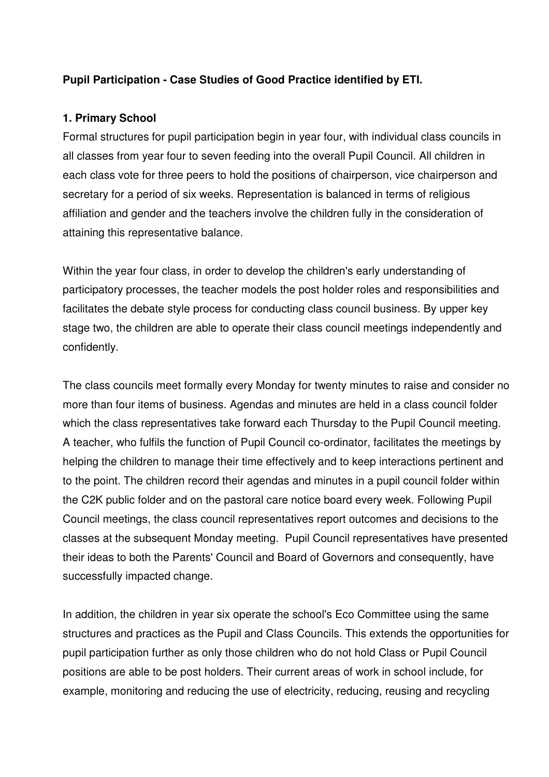## **Pupil Participation - Case Studies of Good Practice identified by ETI.**

### **1. Primary School**

 Formal structures for pupil participation begin in year four, with individual class councils in all classes from year four to seven feeding into the overall Pupil Council. All children in each class vote for three peers to hold the positions of chairperson, vice chairperson and secretary for a period of six weeks. Representation is balanced in terms of religious affiliation and gender and the teachers involve the children fully in the consideration of attaining this representative balance.

 Within the year four class, in order to develop the children's early understanding of participatory processes, the teacher models the post holder roles and responsibilities and facilitates the debate style process for conducting class council business. By upper key stage two, the children are able to operate their class council meetings independently and confidently.

 The class councils meet formally every Monday for twenty minutes to raise and consider no more than four items of business. Agendas and minutes are held in a class council folder which the class representatives take forward each Thursday to the Pupil Council meeting. A teacher, who fulfils the function of Pupil Council co-ordinator, facilitates the meetings by helping the children to manage their time effectively and to keep interactions pertinent and to the point. The children record their agendas and minutes in a pupil council folder within the C2K public folder and on the pastoral care notice board every week. Following Pupil Council meetings, the class council representatives report outcomes and decisions to the classes at the subsequent Monday meeting. Pupil Council representatives have presented their ideas to both the Parents' Council and Board of Governors and consequently, have successfully impacted change.

 In addition, the children in year six operate the school's Eco Committee using the same structures and practices as the Pupil and Class Councils. This extends the opportunities for pupil participation further as only those children who do not hold Class or Pupil Council positions are able to be post holders. Their current areas of work in school include, for example, monitoring and reducing the use of electricity, reducing, reusing and recycling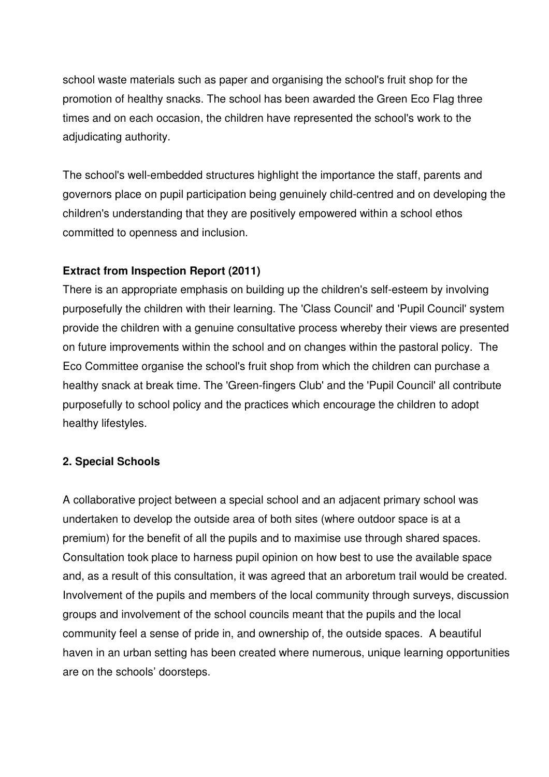school waste materials such as paper and organising the school's fruit shop for the promotion of healthy snacks. The school has been awarded the Green Eco Flag three times and on each occasion, the children have represented the school's work to the adjudicating authority.

 The school's well-embedded structures highlight the importance the staff, parents and governors place on pupil participation being genuinely child-centred and on developing the children's understanding that they are positively empowered within a school ethos committed to openness and inclusion.

### **Extract from Inspection Report (2011)**

 There is an appropriate emphasis on building up the children's self-esteem by involving purposefully the children with their learning. The 'Class Council' and 'Pupil Council' system provide the children with a genuine consultative process whereby their views are presented on future improvements within the school and on changes within the pastoral policy. The Eco Committee organise the school's fruit shop from which the children can purchase a healthy snack at break time. The 'Green-fingers Club' and the 'Pupil Council' all contribute purposefully to school policy and the practices which encourage the children to adopt healthy lifestyles.

### **2. Special Schools**

 A collaborative project between a special school and an adjacent primary school was undertaken to develop the outside area of both sites (where outdoor space is at a premium) for the benefit of all the pupils and to maximise use through shared spaces. Consultation took place to harness pupil opinion on how best to use the available space and, as a result of this consultation, it was agreed that an arboretum trail would be created. Involvement of the pupils and members of the local community through surveys, discussion groups and involvement of the school councils meant that the pupils and the local community feel a sense of pride in, and ownership of, the outside spaces. A beautiful haven in an urban setting has been created where numerous, unique learning opportunities are on the schools' doorsteps.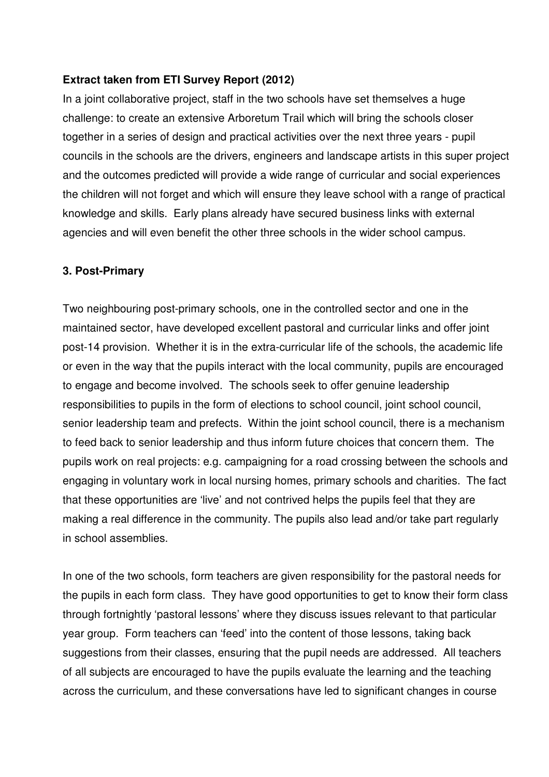### **Extract taken from ETI Survey Report (2012)**

 In a joint collaborative project, staff in the two schools have set themselves a huge challenge: to create an extensive Arboretum Trail which will bring the schools closer together in a series of design and practical activities over the next three years - pupil councils in the schools are the drivers, engineers and landscape artists in this super project and the outcomes predicted will provide a wide range of curricular and social experiences the children will not forget and which will ensure they leave school with a range of practical knowledge and skills. Early plans already have secured business links with external agencies and will even benefit the other three schools in the wider school campus.

### **3. Post-Primary**

 Two neighbouring post-primary schools, one in the controlled sector and one in the maintained sector, have developed excellent pastoral and curricular links and offer joint post-14 provision. Whether it is in the extra-curricular life of the schools, the academic life or even in the way that the pupils interact with the local community, pupils are encouraged to engage and become involved. The schools seek to offer genuine leadership responsibilities to pupils in the form of elections to school council, joint school council, senior leadership team and prefects. Within the joint school council, there is a mechanism to feed back to senior leadership and thus inform future choices that concern them. The pupils work on real projects: e.g. campaigning for a road crossing between the schools and engaging in voluntary work in local nursing homes, primary schools and charities. The fact that these opportunities are 'live' and not contrived helps the pupils feel that they are making a real difference in the community. The pupils also lead and/or take part regularly in school assemblies.

 In one of the two schools, form teachers are given responsibility for the pastoral needs for the pupils in each form class. They have good opportunities to get to know their form class through fortnightly 'pastoral lessons' where they discuss issues relevant to that particular year group. Form teachers can 'feed' into the content of those lessons, taking back suggestions from their classes, ensuring that the pupil needs are addressed. All teachers of all subjects are encouraged to have the pupils evaluate the learning and the teaching across the curriculum, and these conversations have led to significant changes in course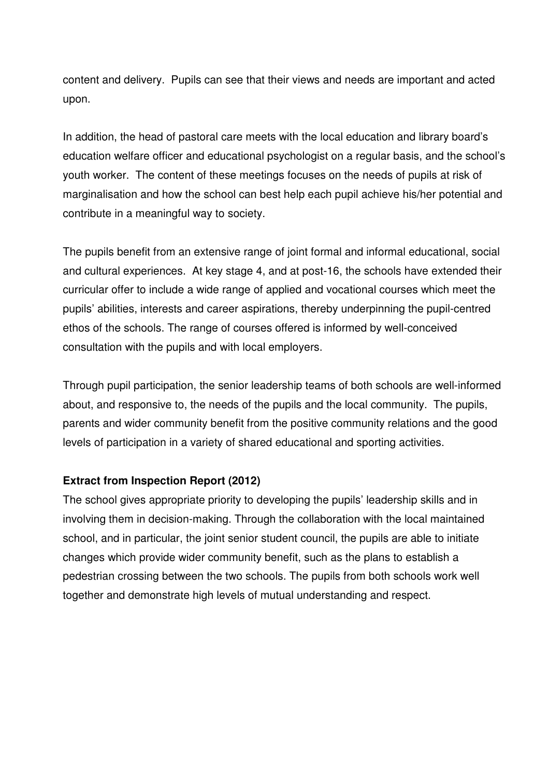content and delivery. Pupils can see that their views and needs are important and acted upon.

upon.<br>In addition, the head of pastoral care meets with the local education and library board's education welfare officer and educational psychologist on a regular basis, and the school's youth worker. The content of these meetings focuses on the needs of pupils at risk of marginalisation and how the school can best help each pupil achieve his/her potential and contribute in a meaningful way to society.

 The pupils benefit from an extensive range of joint formal and informal educational, social and cultural experiences. At key stage 4, and at post-16, the schools have extended their curricular offer to include a wide range of applied and vocational courses which meet the pupils' abilities, interests and career aspirations, thereby underpinning the pupil-centred ethos of the schools. The range of courses offered is informed by well-conceived consultation with the pupils and with local employers.

 Through pupil participation, the senior leadership teams of both schools are well-informed about, and responsive to, the needs of the pupils and the local community. The pupils, parents and wider community benefit from the positive community relations and the good levels of participation in a variety of shared educational and sporting activities.

### **Extract from Inspection Report (2012)**

 The school gives appropriate priority to developing the pupils' leadership skills and in involving them in decision-making. Through the collaboration with the local maintained school, and in particular, the joint senior student council, the pupils are able to initiate changes which provide wider community benefit, such as the plans to establish a pedestrian crossing between the two schools. The pupils from both schools work well together and demonstrate high levels of mutual understanding and respect.